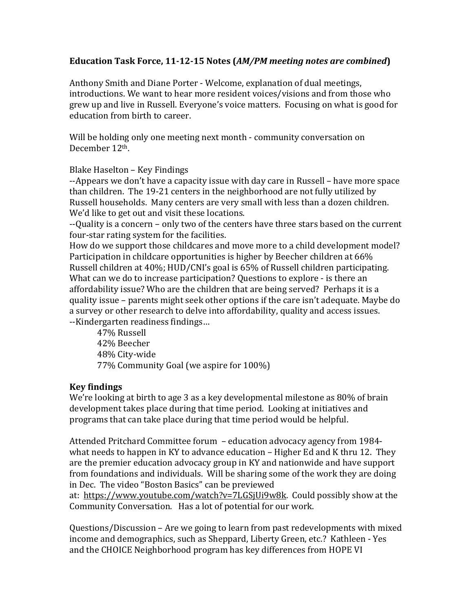## **Education Task Force, 11-12-15 Notes (***AM/PM meeting notes are combined***)**

Anthony Smith and Diane Porter - Welcome, explanation of dual meetings, introductions. We want to hear more resident voices/visions and from those who grew up and live in Russell. Everyone's voice matters. Focusing on what is good for education from birth to career.

Will be holding only one meeting next month - community conversation on December 12th.

Blake Haselton – Key Findings

--Appears we don't have a capacity issue with day care in Russell – have more space than children. The 19-21 centers in the neighborhood are not fully utilized by Russell households. Many centers are very small with less than a dozen children. We'd like to get out and visit these locations.

--Quality is a concern – only two of the centers have three stars based on the current four-star rating system for the facilities.

How do we support those childcares and move more to a child development model? Participation in childcare opportunities is higher by Beecher children at 66% Russell children at 40%; HUD/CNI's goal is 65% of Russell children participating. What can we do to increase participation? Questions to explore - is there an affordability issue? Who are the children that are being served? Perhaps it is a quality issue – parents might seek other options if the care isn't adequate. Maybe do a survey or other research to delve into affordability, quality and access issues. --Kindergarten readiness findings…

47% Russell 42% Beecher 48% City-wide 77% Community Goal (we aspire for 100%)

## **Key findings**

We're looking at birth to age 3 as a key developmental milestone as 80% of brain development takes place during that time period. Looking at initiatives and programs that can take place during that time period would be helpful.

Attended Pritchard Committee forum – education advocacy agency from 1984 what needs to happen in KY to advance education – Higher Ed and K thru 12. They are the premier education advocacy group in KY and nationwide and have support from foundations and individuals. Will be sharing some of the work they are doing in Dec. The video "Boston Basics" can be previewed

at: [https://www.youtube.com/watch?v=7LGSjUi9w8k.](https://www.youtube.com/watch?v=7LGSjUi9w8k) Could possibly show at the Community Conversation. Has a lot of potential for our work.

Questions/Discussion – Are we going to learn from past redevelopments with mixed income and demographics, such as Sheppard, Liberty Green, etc.? Kathleen - Yes and the CHOICE Neighborhood program has key differences from HOPE VI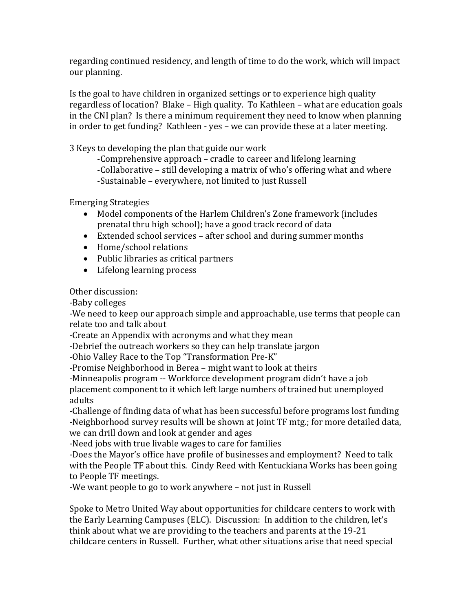regarding continued residency, and length of time to do the work, which will impact our planning.

Is the goal to have children in organized settings or to experience high quality regardless of location? Blake – High quality. To Kathleen – what are education goals in the CNI plan? Is there a minimum requirement they need to know when planning in order to get funding? Kathleen - yes – we can provide these at a later meeting.

3 Keys to developing the plan that guide our work

-Comprehensive approach – cradle to career and lifelong learning -Collaborative – still developing a matrix of who's offering what and where -Sustainable – everywhere, not limited to just Russell

Emerging Strategies

- Model components of the Harlem Children's Zone framework (includes prenatal thru high school); have a good track record of data
- Extended school services after school and during summer months
- Home/school relations
- Public libraries as critical partners
- Lifelong learning process

Other discussion:

-Baby colleges

-We need to keep our approach simple and approachable, use terms that people can relate too and talk about

-Create an Appendix with acronyms and what they mean

-Debrief the outreach workers so they can help translate jargon

-Ohio Valley Race to the Top "Transformation Pre-K"

-Promise Neighborhood in Berea – might want to look at theirs

-Minneapolis program -- Workforce development program didn't have a job placement component to it which left large numbers of trained but unemployed adults

-Challenge of finding data of what has been successful before programs lost funding -Neighborhood survey results will be shown at Joint TF mtg.; for more detailed data, we can drill down and look at gender and ages

-Need jobs with true livable wages to care for families

-Does the Mayor's office have profile of businesses and employment? Need to talk with the People TF about this. Cindy Reed with Kentuckiana Works has been going to People TF meetings.

-We want people to go to work anywhere – not just in Russell

Spoke to Metro United Way about opportunities for childcare centers to work with the Early Learning Campuses (ELC). Discussion: In addition to the children, let's think about what we are providing to the teachers and parents at the 19-21 childcare centers in Russell. Further, what other situations arise that need special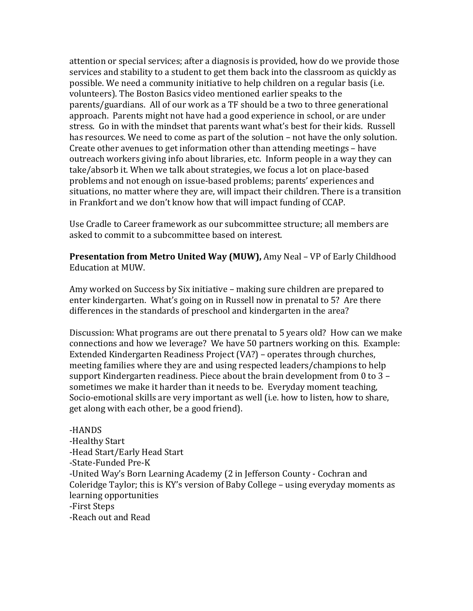attention or special services; after a diagnosis is provided, how do we provide those services and stability to a student to get them back into the classroom as quickly as possible. We need a community initiative to help children on a regular basis (i.e. volunteers). The Boston Basics video mentioned earlier speaks to the parents/guardians. All of our work as a TF should be a two to three generational approach. Parents might not have had a good experience in school, or are under stress. Go in with the mindset that parents want what's best for their kids. Russell has resources. We need to come as part of the solution – not have the only solution. Create other avenues to get information other than attending meetings – have outreach workers giving info about libraries, etc. Inform people in a way they can take/absorb it. When we talk about strategies, we focus a lot on place-based problems and not enough on issue-based problems; parents' experiences and situations, no matter where they are, will impact their children. There is a transition in Frankfort and we don't know how that will impact funding of CCAP.

Use Cradle to Career framework as our subcommittee structure; all members are asked to commit to a subcommittee based on interest.

**Presentation from Metro United Way (MUW),** Amy Neal – VP of Early Childhood Education at MUW.

Amy worked on Success by Six initiative – making sure children are prepared to enter kindergarten. What's going on in Russell now in prenatal to 5? Are there differences in the standards of preschool and kindergarten in the area?

Discussion: What programs are out there prenatal to 5 years old? How can we make connections and how we leverage? We have 50 partners working on this. Example: Extended Kindergarten Readiness Project (VA?) – operates through churches, meeting families where they are and using respected leaders/champions to help support Kindergarten readiness. Piece about the brain development from 0 to 3 – sometimes we make it harder than it needs to be. Everyday moment teaching, Socio-emotional skills are very important as well (i.e. how to listen, how to share, get along with each other, be a good friend).

-HANDS -Healthy Start -Head Start/Early Head Start -State-Funded Pre-K -United Way's Born Learning Academy (2 in Jefferson County - Cochran and Coleridge Taylor; this is KY's version of Baby College – using everyday moments as learning opportunities -First Steps -Reach out and Read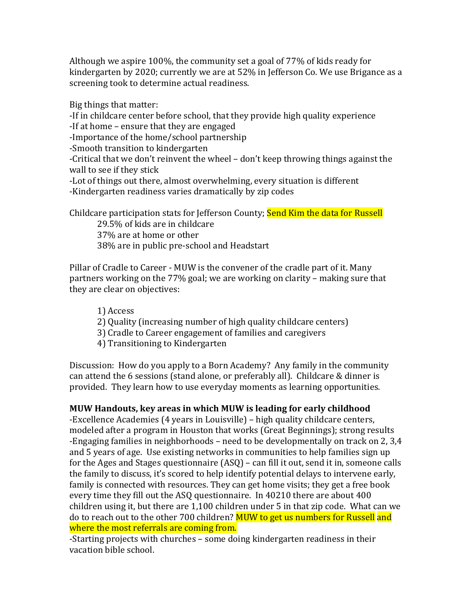Although we aspire 100%, the community set a goal of 77% of kids ready for kindergarten by 2020; currently we are at 52% in Jefferson Co. We use Brigance as a screening took to determine actual readiness.

Big things that matter:

-If in childcare center before school, that they provide high quality experience

-If at home – ensure that they are engaged

-Importance of the home/school partnership

-Smooth transition to kindergarten

-Critical that we don't reinvent the wheel – don't keep throwing things against the wall to see if they stick

-Lot of things out there, almost overwhelming, every situation is different -Kindergarten readiness varies dramatically by zip codes

Childcare participation stats for Jefferson County; Send Kim the data for Russell

29.5% of kids are in childcare 37% are at home or other 38% are in public pre-school and Headstart

Pillar of Cradle to Career - MUW is the convener of the cradle part of it. Many partners working on the 77% goal; we are working on clarity – making sure that they are clear on objectives:

1) Access

- 2) Quality (increasing number of high quality childcare centers)
- 3) Cradle to Career engagement of families and caregivers
- 4) Transitioning to Kindergarten

Discussion: How do you apply to a Born Academy? Any family in the community can attend the 6 sessions (stand alone, or preferably all). Childcare & dinner is provided. They learn how to use everyday moments as learning opportunities.

## **MUW Handouts, key areas in which MUW is leading for early childhood**

-Excellence Academies (4 years in Louisville) – high quality childcare centers, modeled after a program in Houston that works (Great Beginnings); strong results -Engaging families in neighborhoods – need to be developmentally on track on 2, 3,4 and 5 years of age. Use existing networks in communities to help families sign up for the Ages and Stages questionnaire (ASQ) – can fill it out, send it in, someone calls the family to discuss, it's scored to help identify potential delays to intervene early, family is connected with resources. They can get home visits; they get a free book every time they fill out the ASQ questionnaire. In 40210 there are about 400 children using it, but there are 1,100 children under 5 in that zip code. What can we do to reach out to the other 700 children? MUW to get us numbers for Russell and where the most referrals are coming from.

-Starting projects with churches – some doing kindergarten readiness in their vacation bible school.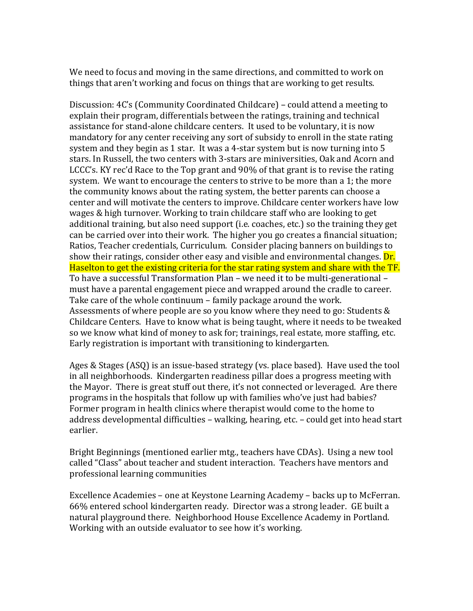We need to focus and moving in the same directions, and committed to work on things that aren't working and focus on things that are working to get results.

Discussion: 4C's (Community Coordinated Childcare) – could attend a meeting to explain their program, differentials between the ratings, training and technical assistance for stand-alone childcare centers. It used to be voluntary, it is now mandatory for any center receiving any sort of subsidy to enroll in the state rating system and they begin as 1 star. It was a 4-star system but is now turning into 5 stars. In Russell, the two centers with 3-stars are miniversities, Oak and Acorn and LCCC's. KY rec'd Race to the Top grant and 90% of that grant is to revise the rating system. We want to encourage the centers to strive to be more than a 1; the more the community knows about the rating system, the better parents can choose a center and will motivate the centers to improve. Childcare center workers have low wages & high turnover. Working to train childcare staff who are looking to get additional training, but also need support (i.e. coaches, etc.) so the training they get can be carried over into their work. The higher you go creates a financial situation; Ratios, Teacher credentials, Curriculum. Consider placing banners on buildings to show their ratings, consider other easy and visible and environmental changes. Dr. Haselton to get the existing criteria for the star rating system and share with the TF. To have a successful Transformation Plan – we need it to be multi-generational – must have a parental engagement piece and wrapped around the cradle to career. Take care of the whole continuum – family package around the work. Assessments of where people are so you know where they need to go: Students & Childcare Centers. Have to know what is being taught, where it needs to be tweaked so we know what kind of money to ask for; trainings, real estate, more staffing, etc. Early registration is important with transitioning to kindergarten.

Ages & Stages (ASQ) is an issue-based strategy (vs. place based). Have used the tool in all neighborhoods. Kindergarten readiness pillar does a progress meeting with the Mayor. There is great stuff out there, it's not connected or leveraged. Are there programs in the hospitals that follow up with families who've just had babies? Former program in health clinics where therapist would come to the home to address developmental difficulties – walking, hearing, etc. – could get into head start earlier.

Bright Beginnings (mentioned earlier mtg., teachers have CDAs). Using a new tool called "Class" about teacher and student interaction. Teachers have mentors and professional learning communities

Excellence Academies – one at Keystone Learning Academy – backs up to McFerran. 66% entered school kindergarten ready. Director was a strong leader. GE built a natural playground there. Neighborhood House Excellence Academy in Portland. Working with an outside evaluator to see how it's working.